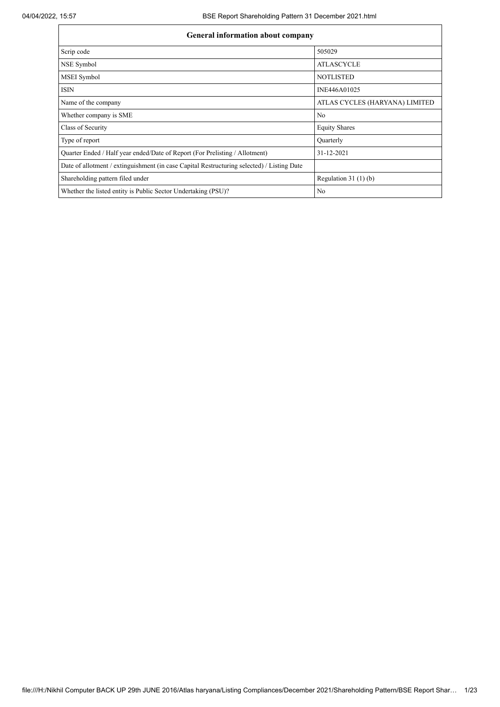| <b>General information about company</b>                                                   |                                |  |  |  |  |  |  |  |  |
|--------------------------------------------------------------------------------------------|--------------------------------|--|--|--|--|--|--|--|--|
| Scrip code                                                                                 | 505029                         |  |  |  |  |  |  |  |  |
| NSE Symbol                                                                                 | <b>ATLASCYCLE</b>              |  |  |  |  |  |  |  |  |
| MSEI Symbol                                                                                | <b>NOTLISTED</b>               |  |  |  |  |  |  |  |  |
| <b>ISIN</b>                                                                                | INE446A01025                   |  |  |  |  |  |  |  |  |
| Name of the company                                                                        | ATLAS CYCLES (HARYANA) LIMITED |  |  |  |  |  |  |  |  |
| Whether company is SME                                                                     | No                             |  |  |  |  |  |  |  |  |
| Class of Security                                                                          | <b>Equity Shares</b>           |  |  |  |  |  |  |  |  |
| Type of report                                                                             | <b>Ouarterly</b>               |  |  |  |  |  |  |  |  |
| Quarter Ended / Half year ended/Date of Report (For Prelisting / Allotment)                | 31-12-2021                     |  |  |  |  |  |  |  |  |
| Date of allotment / extinguishment (in case Capital Restructuring selected) / Listing Date |                                |  |  |  |  |  |  |  |  |
| Shareholding pattern filed under                                                           | Regulation $31(1)(b)$          |  |  |  |  |  |  |  |  |
| Whether the listed entity is Public Sector Undertaking (PSU)?                              | No                             |  |  |  |  |  |  |  |  |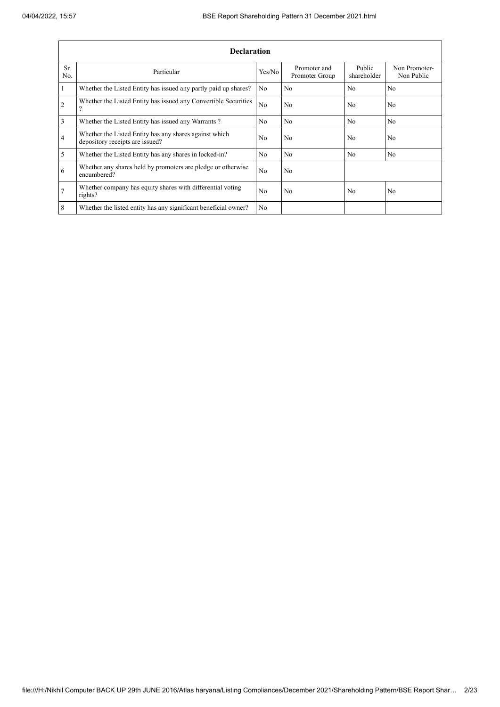|                | <b>Declaration</b>                                                                        |                |                                |                       |                             |  |  |  |  |  |  |  |
|----------------|-------------------------------------------------------------------------------------------|----------------|--------------------------------|-----------------------|-----------------------------|--|--|--|--|--|--|--|
| Sr.<br>No.     | Particular                                                                                | Yes/No         | Promoter and<br>Promoter Group | Public<br>shareholder | Non Promoter-<br>Non Public |  |  |  |  |  |  |  |
| 1              | Whether the Listed Entity has issued any partly paid up shares?                           | N <sub>o</sub> | No                             | N <sub>0</sub>        | N <sub>0</sub>              |  |  |  |  |  |  |  |
| $\overline{2}$ | Whether the Listed Entity has issued any Convertible Securities<br>$\mathcal{P}$          | N <sub>o</sub> | No                             | N <sub>0</sub>        | N <sub>0</sub>              |  |  |  |  |  |  |  |
| 3              | Whether the Listed Entity has issued any Warrants?                                        | N <sub>0</sub> | No                             | N <sub>o</sub>        | N <sub>0</sub>              |  |  |  |  |  |  |  |
| $\overline{4}$ | Whether the Listed Entity has any shares against which<br>depository receipts are issued? | N <sub>0</sub> | No                             | No                    | N <sub>0</sub>              |  |  |  |  |  |  |  |
| $\mathfrak{s}$ | Whether the Listed Entity has any shares in locked-in?                                    | N <sub>0</sub> | N <sub>0</sub>                 | N <sub>0</sub>        | N <sub>0</sub>              |  |  |  |  |  |  |  |
| 6              | Whether any shares held by promoters are pledge or otherwise<br>encumbered?               | No             | N <sub>o</sub>                 |                       |                             |  |  |  |  |  |  |  |
| $\overline{7}$ | Whether company has equity shares with differential voting<br>rights?                     | N <sub>0</sub> | No                             | No                    | N <sub>o</sub>              |  |  |  |  |  |  |  |
| 8              | Whether the listed entity has any significant beneficial owner?                           | N <sub>0</sub> |                                |                       |                             |  |  |  |  |  |  |  |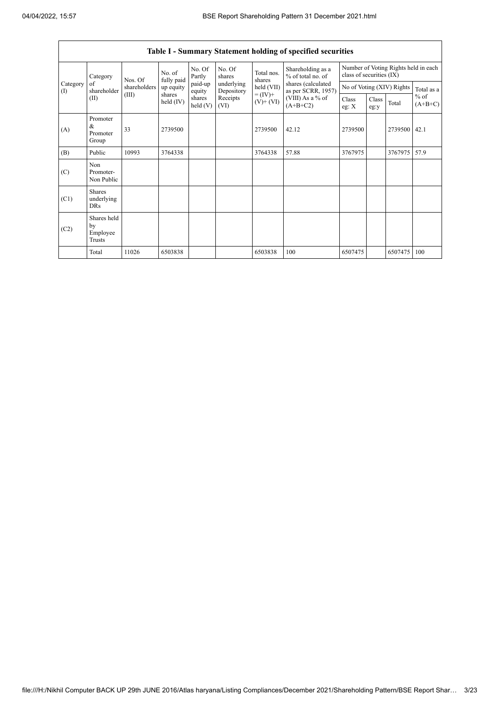$\mathsf{r}$ 

 $\overline{\phantom{a}}$ 

|                                        | Table I - Summary Statement holding of specified securities |              |                       |                      |                          |                                    |                                          |                                                                  |               |                           |                     |  |  |  |
|----------------------------------------|-------------------------------------------------------------|--------------|-----------------------|----------------------|--------------------------|------------------------------------|------------------------------------------|------------------------------------------------------------------|---------------|---------------------------|---------------------|--|--|--|
|                                        | Category                                                    | Nos. Of      | No. of<br>fully paid  | No. Of<br>Partly     | No. Of<br>shares         | Total nos.<br>shares<br>held (VII) | Shareholding as a<br>% of total no. of   | Number of Voting Rights held in each<br>class of securities (IX) |               |                           |                     |  |  |  |
| Category<br>$\left( \mathrm{I}\right)$ | of<br>shareholder                                           | shareholders | up equity             | paid-up<br>equity    | underlying<br>Depository |                                    | shares (calculated<br>as per SCRR, 1957) |                                                                  |               | No of Voting (XIV) Rights | Total as a          |  |  |  |
|                                        | (II)                                                        | (III)        | shares<br>held $(IV)$ | shares<br>held $(V)$ | Receipts<br>(VI)         | $= (IV) +$<br>$(V)$ + $(VI)$       | (VIII) As a % of<br>$(A+B+C2)$           | Class<br>eg: $X$                                                 | Class<br>eg:y | Total                     | $%$ of<br>$(A+B+C)$ |  |  |  |
| (A)                                    | Promoter<br>&<br>Promoter<br>Group                          | 33           | 2739500               |                      |                          | 2739500                            | 42.12                                    | 2739500                                                          |               | 2739500                   | 42.1                |  |  |  |
| (B)                                    | Public                                                      | 10993        | 3764338               |                      |                          | 3764338                            | 57.88                                    | 3767975                                                          |               | 3767975                   | 57.9                |  |  |  |
| (C)                                    | Non<br>Promoter-<br>Non Public                              |              |                       |                      |                          |                                    |                                          |                                                                  |               |                           |                     |  |  |  |
| (C1)                                   | <b>Shares</b><br>underlying<br><b>DRs</b>                   |              |                       |                      |                          |                                    |                                          |                                                                  |               |                           |                     |  |  |  |
| (C2)                                   | Shares held<br>by<br>Employee<br>Trusts                     |              |                       |                      |                          |                                    |                                          |                                                                  |               |                           |                     |  |  |  |
|                                        | Total                                                       | 11026        | 6503838               |                      |                          | 6503838                            | 100                                      | 6507475                                                          |               | 6507475                   | 100                 |  |  |  |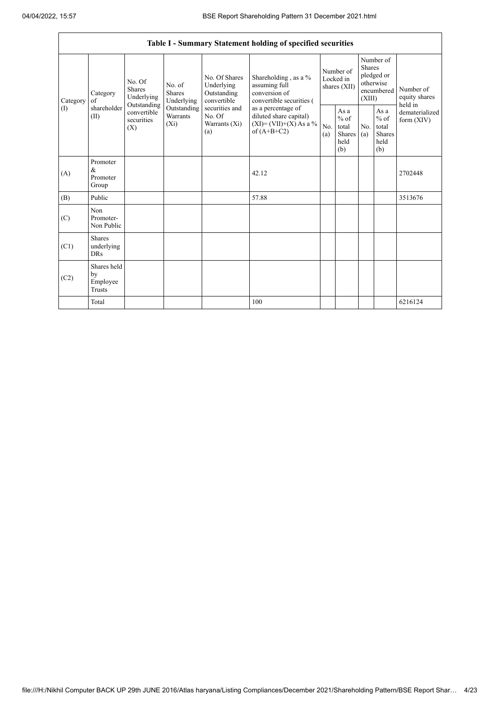|                 |                                                |                                                      |                                       |                                                           | Table I - Summary Statement holding of specified securities                                |                                          |                                                  |                                                                               |                                                  |                                       |
|-----------------|------------------------------------------------|------------------------------------------------------|---------------------------------------|-----------------------------------------------------------|--------------------------------------------------------------------------------------------|------------------------------------------|--------------------------------------------------|-------------------------------------------------------------------------------|--------------------------------------------------|---------------------------------------|
| Category<br>(1) | Category<br>of<br>shareholder<br>(II)          | No. Of<br><b>Shares</b><br>Underlying<br>Outstanding | No. of<br><b>Shares</b><br>Underlying | No. Of Shares<br>Underlying<br>Outstanding<br>convertible | Shareholding, as a %<br>assuming full<br>conversion of<br>convertible securities (         | Number of<br>Locked in<br>shares $(XII)$ |                                                  | Number of<br><b>Shares</b><br>pledged or<br>otherwise<br>encumbered<br>(XIII) |                                                  | Number of<br>equity shares<br>held in |
|                 |                                                | convertible<br>securities<br>$(X_i)$<br>(X)          | Outstanding<br>Warrants               | securities and<br>No. Of<br>Warrants $(X_i)$<br>(a)       | as a percentage of<br>diluted share capital)<br>$(XI) = (VII)+(X) As a %$<br>of $(A+B+C2)$ | No.<br>(a)                               | As a<br>$%$ of<br>total<br>Shares<br>held<br>(b) | No.<br>(a)                                                                    | As a<br>$%$ of<br>total<br>Shares<br>held<br>(b) | dematerialized<br>form $(XIV)$        |
| (A)             | Promoter<br>$\&$<br>Promoter<br>Group          |                                                      |                                       |                                                           | 42.12                                                                                      |                                          |                                                  |                                                                               |                                                  | 2702448                               |
| (B)             | Public                                         |                                                      |                                       |                                                           | 57.88                                                                                      |                                          |                                                  |                                                                               |                                                  | 3513676                               |
| (C)             | Non<br>Promoter-<br>Non Public                 |                                                      |                                       |                                                           |                                                                                            |                                          |                                                  |                                                                               |                                                  |                                       |
| (C1)            | <b>Shares</b><br>underlying<br><b>DRs</b>      |                                                      |                                       |                                                           |                                                                                            |                                          |                                                  |                                                                               |                                                  |                                       |
| (C2)            | Shares held<br>by<br>Employee<br><b>Trusts</b> |                                                      |                                       |                                                           |                                                                                            |                                          |                                                  |                                                                               |                                                  |                                       |
|                 | Total                                          |                                                      |                                       |                                                           | 100                                                                                        |                                          |                                                  |                                                                               |                                                  | 6216124                               |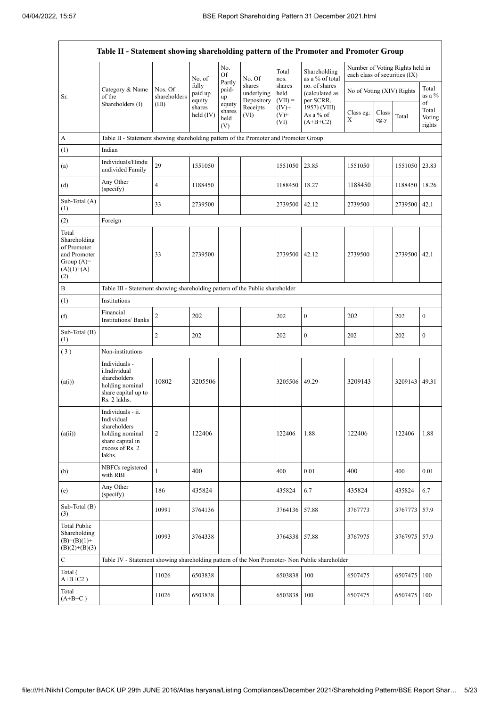| Table II - Statement showing shareholding pattern of the Promoter and Promoter Group        |                                                                                                                     |                         |                            |                                 |                                    |                             |                                              |                               |               |                                 |                           |  |
|---------------------------------------------------------------------------------------------|---------------------------------------------------------------------------------------------------------------------|-------------------------|----------------------------|---------------------------------|------------------------------------|-----------------------------|----------------------------------------------|-------------------------------|---------------|---------------------------------|---------------------------|--|
|                                                                                             |                                                                                                                     |                         | No. of                     | No.<br>Of                       | No. Of                             | Total<br>nos.               | Shareholding<br>as a % of total              | each class of securities (IX) |               | Number of Voting Rights held in |                           |  |
| Sr.                                                                                         | Category & Name<br>of the                                                                                           | Nos. Of<br>shareholders | fully<br>paid up<br>equity | Partly<br>paid-<br>up           | shares<br>underlying<br>Depository | shares<br>held<br>$(VII) =$ | no. of shares<br>(calculated as<br>per SCRR, | No of Voting (XIV) Rights     |               |                                 | Total<br>as a %<br>of     |  |
|                                                                                             | Shareholders (I)                                                                                                    | (III)                   | shares<br>held (IV)        | equity<br>shares<br>held<br>(V) | Receipts<br>(VI)                   | $(IV)^+$<br>$(V)+$<br>(VI)  | 1957) (VIII)<br>As a % of<br>$(A+B+C2)$      | Class eg:<br>Х                | Class<br>eg:y | Total                           | Total<br>Voting<br>rights |  |
| A                                                                                           | Table II - Statement showing shareholding pattern of the Promoter and Promoter Group                                |                         |                            |                                 |                                    |                             |                                              |                               |               |                                 |                           |  |
| (1)                                                                                         | Indian                                                                                                              |                         |                            |                                 |                                    |                             |                                              |                               |               |                                 |                           |  |
| (a)                                                                                         | Individuals/Hindu<br>undivided Family                                                                               | 29                      | 1551050                    |                                 |                                    | 1551050                     | 23.85                                        | 1551050                       |               | 1551050                         | 23.83                     |  |
| (d)                                                                                         | Any Other<br>(specify)                                                                                              | $\overline{4}$          | 1188450                    |                                 |                                    | 1188450                     | 18.27                                        | 1188450                       |               | 1188450                         | 18.26                     |  |
| Sub-Total (A)<br>(1)                                                                        |                                                                                                                     | 33                      | 2739500                    |                                 |                                    | 2739500                     | 42.12                                        | 2739500                       |               | 2739500 42.1                    |                           |  |
| (2)                                                                                         | Foreign                                                                                                             |                         |                            |                                 |                                    |                             |                                              |                               |               |                                 |                           |  |
| Total<br>Shareholding<br>of Promoter<br>and Promoter<br>Group $(A)=$<br>$(A)(1)+(A)$<br>(2) |                                                                                                                     | 33                      | 2739500                    |                                 |                                    | 2739500 42.12               |                                              | 2739500                       |               | 2739500 42.1                    |                           |  |
| B                                                                                           | Table III - Statement showing shareholding pattern of the Public shareholder                                        |                         |                            |                                 |                                    |                             |                                              |                               |               |                                 |                           |  |
| (1)                                                                                         | Institutions                                                                                                        |                         |                            |                                 |                                    |                             |                                              |                               |               |                                 |                           |  |
| (f)                                                                                         | Financial<br><b>Institutions/Banks</b>                                                                              | 2                       | 202                        |                                 |                                    | 202                         | $\bf{0}$                                     | 202                           |               | 202                             | $\boldsymbol{0}$          |  |
| Sub-Total (B)<br>(1)                                                                        |                                                                                                                     | $\overline{c}$          | 202                        |                                 |                                    | 202                         | $\boldsymbol{0}$                             | 202                           |               | 202                             | $\boldsymbol{0}$          |  |
| (3)                                                                                         | Non-institutions                                                                                                    |                         |                            |                                 |                                    |                             |                                              |                               |               |                                 |                           |  |
| (a(i))                                                                                      | Individuals -<br>i.Individual<br>shareholders<br>holding nominal<br>share capital up to<br>Rs. 2 lakhs.             | 10802                   | 3205506                    |                                 |                                    | 3205506                     | 49.29                                        | 3209143                       |               | 3209143 49.31                   |                           |  |
| (a(ii))                                                                                     | Individuals - ii.<br>Individual<br>shareholders<br>holding nominal<br>share capital in<br>excess of Rs. 2<br>lakhs. | $\overline{2}$          | 122406                     |                                 |                                    | 122406                      | 1.88                                         | 122406                        |               | 122406                          | 1.88                      |  |
| (b)                                                                                         | NBFCs registered<br>with RBI                                                                                        | $\mathbf{1}$            | 400                        |                                 |                                    | 400                         | 0.01                                         | 400                           |               | 400                             | 0.01                      |  |
| (e)                                                                                         | Any Other<br>(specify)                                                                                              | 186                     | 435824                     |                                 |                                    | 435824                      | 6.7                                          | 435824                        |               | 435824                          | 6.7                       |  |
| Sub-Total (B)<br>(3)                                                                        |                                                                                                                     | 10991                   | 3764136                    |                                 |                                    | 3764136                     | 57.88                                        | 3767773                       |               | 3767773                         | 57.9                      |  |
| <b>Total Public</b><br>Shareholding<br>$(B)=(B)(1)+$<br>$(B)(2)+(B)(3)$                     |                                                                                                                     | 10993                   | 3764338                    |                                 |                                    | 3764338                     | 57.88                                        | 3767975                       |               | 3767975                         | 57.9                      |  |
| $\mathbf C$                                                                                 | Table IV - Statement showing shareholding pattern of the Non Promoter- Non Public shareholder                       |                         |                            |                                 |                                    |                             |                                              |                               |               |                                 |                           |  |
| Total (<br>$A+B+C2$ )                                                                       |                                                                                                                     | 11026                   | 6503838                    |                                 |                                    | 6503838                     | 100                                          | 6507475                       |               | 6507475                         | 100                       |  |
| Total<br>$(A+B+C)$                                                                          |                                                                                                                     | 11026                   | 6503838                    |                                 |                                    | 6503838                     | 100                                          | 6507475                       |               | 6507475                         | 100                       |  |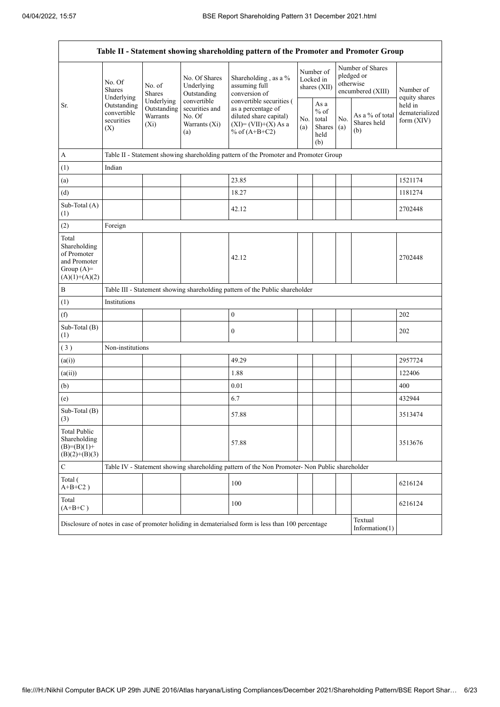Î.

| Table II - Statement showing shareholding pattern of the Promoter and Promoter Group    |                                                                                                     |                         |                                                                 |                                                                                                                        |            |                                                         |                                                                  |                                       |                                           |  |  |  |
|-----------------------------------------------------------------------------------------|-----------------------------------------------------------------------------------------------------|-------------------------|-----------------------------------------------------------------|------------------------------------------------------------------------------------------------------------------------|------------|---------------------------------------------------------|------------------------------------------------------------------|---------------------------------------|-------------------------------------------|--|--|--|
|                                                                                         | No. Of<br><b>Shares</b><br>Underlying                                                               | No. of<br><b>Shares</b> | No. Of Shares<br>Underlying<br>Outstanding                      | Shareholding, as a %<br>assuming full<br>conversion of                                                                 |            | Number of<br>Locked in<br>shares (XII)                  | Number of Shares<br>pledged or<br>otherwise<br>encumbered (XIII) |                                       | Number of<br>equity shares                |  |  |  |
| Sr.                                                                                     | Underlying<br>Outstanding<br>Outstanding<br>convertible<br>Warrants<br>securities<br>$(X_i)$<br>(X) |                         | convertible<br>securities and<br>No. Of<br>Warrants (Xi)<br>(a) | convertible securities (<br>as a percentage of<br>diluted share capital)<br>$(XI) = (VII)+(X) As a$<br>% of $(A+B+C2)$ | No.<br>(a) | As a<br>$%$ of<br>total<br><b>Shares</b><br>held<br>(b) | No.<br>(a)                                                       | As a % of total<br>Shares held<br>(b) | held in<br>dematerialized<br>form $(XIV)$ |  |  |  |
| $\mathbf A$                                                                             |                                                                                                     |                         |                                                                 | Table II - Statement showing shareholding pattern of the Promoter and Promoter Group                                   |            |                                                         |                                                                  |                                       |                                           |  |  |  |
| (1)                                                                                     | Indian                                                                                              |                         |                                                                 |                                                                                                                        |            |                                                         |                                                                  |                                       |                                           |  |  |  |
| (a)                                                                                     |                                                                                                     |                         |                                                                 | 23.85                                                                                                                  |            |                                                         |                                                                  |                                       | 1521174                                   |  |  |  |
| (d)                                                                                     |                                                                                                     |                         |                                                                 | 18.27                                                                                                                  |            |                                                         |                                                                  |                                       | 1181274                                   |  |  |  |
| Sub-Total (A)<br>(1)                                                                    |                                                                                                     |                         |                                                                 | 42.12                                                                                                                  |            |                                                         |                                                                  |                                       | 2702448                                   |  |  |  |
| (2)                                                                                     | Foreign                                                                                             |                         |                                                                 |                                                                                                                        |            |                                                         |                                                                  |                                       |                                           |  |  |  |
| Total<br>Shareholding<br>of Promoter<br>and Promoter<br>Group $(A)=$<br>$(A)(1)+(A)(2)$ |                                                                                                     |                         |                                                                 | 42.12                                                                                                                  |            |                                                         |                                                                  |                                       | 2702448                                   |  |  |  |
| $\, {\bf B}$                                                                            |                                                                                                     |                         |                                                                 | Table III - Statement showing shareholding pattern of the Public shareholder                                           |            |                                                         |                                                                  |                                       |                                           |  |  |  |
| (1)                                                                                     | Institutions                                                                                        |                         |                                                                 |                                                                                                                        |            |                                                         |                                                                  |                                       |                                           |  |  |  |
| (f)                                                                                     |                                                                                                     |                         |                                                                 | $\boldsymbol{0}$                                                                                                       |            |                                                         |                                                                  |                                       | 202                                       |  |  |  |
| Sub-Total (B)<br>(1)                                                                    |                                                                                                     |                         |                                                                 | $\boldsymbol{0}$                                                                                                       |            |                                                         |                                                                  |                                       | 202                                       |  |  |  |
| (3)                                                                                     | Non-institutions                                                                                    |                         |                                                                 |                                                                                                                        |            |                                                         |                                                                  |                                       |                                           |  |  |  |
| (a(i))                                                                                  |                                                                                                     |                         |                                                                 | 49.29                                                                                                                  |            |                                                         |                                                                  |                                       | 2957724                                   |  |  |  |
| (a(ii))                                                                                 |                                                                                                     |                         |                                                                 | 1.88                                                                                                                   |            |                                                         |                                                                  |                                       | 122406                                    |  |  |  |
| (b)                                                                                     |                                                                                                     |                         |                                                                 | 0.01                                                                                                                   |            |                                                         |                                                                  |                                       | 400                                       |  |  |  |
| (e)                                                                                     |                                                                                                     |                         |                                                                 | 6.7                                                                                                                    |            |                                                         |                                                                  |                                       | 432944                                    |  |  |  |
| Sub-Total (B)<br>(3)                                                                    |                                                                                                     |                         |                                                                 | 57.88                                                                                                                  |            |                                                         |                                                                  |                                       | 3513474                                   |  |  |  |
| <b>Total Public</b><br>Shareholding<br>$(B)= (B)(1) +$<br>$(B)(2)+(B)(3)$               |                                                                                                     |                         |                                                                 | 57.88                                                                                                                  |            |                                                         |                                                                  |                                       | 3513676                                   |  |  |  |
| $\mathbf C$                                                                             |                                                                                                     |                         |                                                                 | Table IV - Statement showing shareholding pattern of the Non Promoter- Non Public shareholder                          |            |                                                         |                                                                  |                                       |                                           |  |  |  |
| Total (<br>$A+B+C2$ )                                                                   |                                                                                                     |                         |                                                                 | 100                                                                                                                    |            |                                                         |                                                                  |                                       | 6216124                                   |  |  |  |
| Total<br>$(A+B+C)$                                                                      |                                                                                                     |                         |                                                                 | 100                                                                                                                    |            |                                                         |                                                                  |                                       | 6216124                                   |  |  |  |
|                                                                                         |                                                                                                     |                         |                                                                 | Disclosure of notes in case of promoter holiding in dematerialsed form is less than 100 percentage                     |            |                                                         |                                                                  | Textual<br>Information $(1)$          |                                           |  |  |  |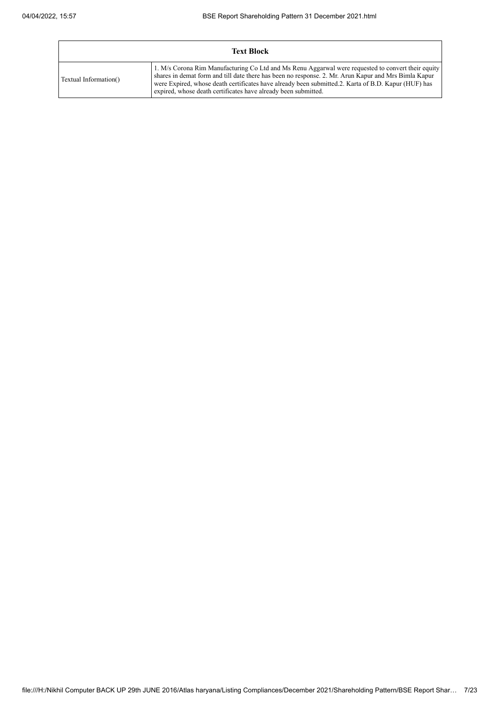|                       | <b>Text Block</b>                                                                                                                                                                                                                                                                                                                                                                   |
|-----------------------|-------------------------------------------------------------------------------------------------------------------------------------------------------------------------------------------------------------------------------------------------------------------------------------------------------------------------------------------------------------------------------------|
| Textual Information() | 1. M/s Corona Rim Manufacturing Co Ltd and Ms Renu Aggarwal were requested to convert their equity<br>shares in demat form and till date there has been no response. 2. Mr. Arun Kapur and Mrs Bimla Kapur<br>were Expired, whose death certificates have already been submitted.2. Karta of B.D. Kapur (HUF) has<br>expired, whose death certificates have already been submitted. |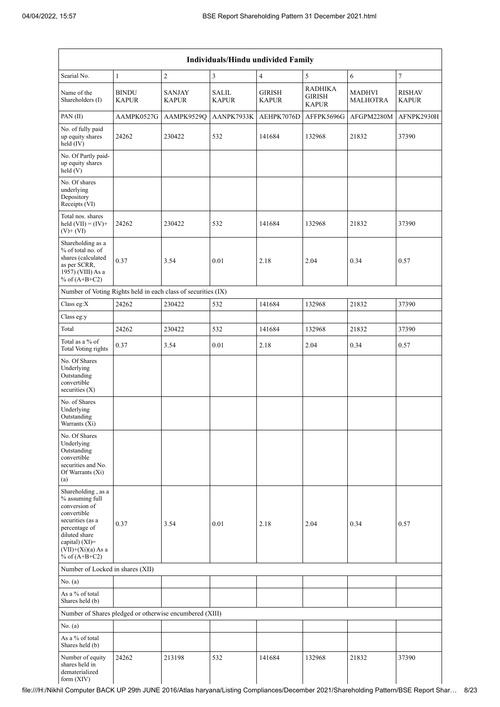| Individuals/Hindu undivided Family                                                                                                                                                       |                              |                               |                              |                               |                                          |                                  |                               |  |  |  |  |  |
|------------------------------------------------------------------------------------------------------------------------------------------------------------------------------------------|------------------------------|-------------------------------|------------------------------|-------------------------------|------------------------------------------|----------------------------------|-------------------------------|--|--|--|--|--|
| Searial No.                                                                                                                                                                              | $\mathbf{1}$                 | $\overline{c}$                | 3                            | $\overline{4}$                | 5                                        | 6                                | $\tau$                        |  |  |  |  |  |
| Name of the<br>Shareholders (I)                                                                                                                                                          | <b>BINDU</b><br><b>KAPUR</b> | <b>SANJAY</b><br><b>KAPUR</b> | <b>SALIL</b><br><b>KAPUR</b> | <b>GIRISH</b><br><b>KAPUR</b> | <b>RADHIKA</b><br>GIRISH<br><b>KAPUR</b> | <b>MADHVI</b><br><b>MALHOTRA</b> | <b>RISHAV</b><br><b>KAPUR</b> |  |  |  |  |  |
| PAN (II)                                                                                                                                                                                 | AAMPK0527G                   | AAMPK9529Q                    | AANPK7933K                   | AEHPK7076D                    | AFFPK5696G                               | AFGPM2280M                       | AFNPK2930H                    |  |  |  |  |  |
| No. of fully paid<br>up equity shares<br>held (IV)                                                                                                                                       | 24262                        | 230422                        | 532                          | 141684                        | 132968                                   | 21832                            | 37390                         |  |  |  |  |  |
| No. Of Partly paid-<br>up equity shares<br>held (V)                                                                                                                                      |                              |                               |                              |                               |                                          |                                  |                               |  |  |  |  |  |
| No. Of shares<br>underlying<br>Depository<br>Receipts (VI)                                                                                                                               |                              |                               |                              |                               |                                          |                                  |                               |  |  |  |  |  |
| Total nos. shares<br>held $(VII) = (IV) +$<br>$(V)$ + $(VI)$                                                                                                                             | 24262                        | 230422                        | 532                          | 141684                        | 132968                                   | 21832                            | 37390                         |  |  |  |  |  |
| Shareholding as a<br>% of total no. of<br>shares (calculated<br>as per SCRR,<br>1957) (VIII) As a<br>% of $(A+B+C2)$                                                                     | 0.37                         | 3.54                          | 0.01                         | 2.18                          | 2.04                                     | 0.34                             | 0.57                          |  |  |  |  |  |
| Number of Voting Rights held in each class of securities (IX)                                                                                                                            |                              |                               |                              |                               |                                          |                                  |                               |  |  |  |  |  |
| Class eg:X                                                                                                                                                                               | 24262                        | 230422                        | 532                          | 141684                        | 132968                                   | 21832                            | 37390                         |  |  |  |  |  |
| Class eg:y                                                                                                                                                                               |                              |                               |                              |                               |                                          |                                  |                               |  |  |  |  |  |
| Total                                                                                                                                                                                    | 24262                        | 230422                        | 532                          | 141684                        | 132968                                   | 21832                            | 37390                         |  |  |  |  |  |
| Total as a % of<br><b>Total Voting rights</b>                                                                                                                                            | 0.37                         | 3.54                          | 0.01                         | 2.18                          | 2.04                                     | 0.34                             | 0.57                          |  |  |  |  |  |
| No. Of Shares<br>Underlying<br>Outstanding<br>convertible<br>securities (X)                                                                                                              |                              |                               |                              |                               |                                          |                                  |                               |  |  |  |  |  |
| No. of Shares<br>Underlying<br>Outstanding<br>Warrants (Xi)                                                                                                                              |                              |                               |                              |                               |                                          |                                  |                               |  |  |  |  |  |
| No. Of Shares<br>Underlying<br>Outstanding<br>convertible<br>securities and No.<br>Of Warrants (Xi)<br>(a)                                                                               |                              |                               |                              |                               |                                          |                                  |                               |  |  |  |  |  |
| Shareholding, as a<br>% assuming full<br>conversion of<br>convertible<br>securities (as a<br>percentage of<br>diluted share<br>capital) (XI)=<br>$(VII)+(Xi)(a)$ As a<br>% of $(A+B+C2)$ | 0.37                         | 3.54                          | 0.01                         | 2.18                          | 2.04                                     | 0.34                             | 0.57                          |  |  |  |  |  |
| Number of Locked in shares (XII)                                                                                                                                                         |                              |                               |                              |                               |                                          |                                  |                               |  |  |  |  |  |
| No. (a)                                                                                                                                                                                  |                              |                               |                              |                               |                                          |                                  |                               |  |  |  |  |  |
| As a % of total<br>Shares held (b)                                                                                                                                                       |                              |                               |                              |                               |                                          |                                  |                               |  |  |  |  |  |
| Number of Shares pledged or otherwise encumbered (XIII)                                                                                                                                  |                              |                               |                              |                               |                                          |                                  |                               |  |  |  |  |  |
| No. (a)                                                                                                                                                                                  |                              |                               |                              |                               |                                          |                                  |                               |  |  |  |  |  |
| As a % of total<br>Shares held (b)                                                                                                                                                       |                              |                               |                              |                               |                                          |                                  |                               |  |  |  |  |  |
| Number of equity<br>shares held in<br>dematerialized<br>form (XIV)                                                                                                                       | 24262                        | 213198                        | 532                          | 141684                        | 132968                                   | 21832                            | 37390                         |  |  |  |  |  |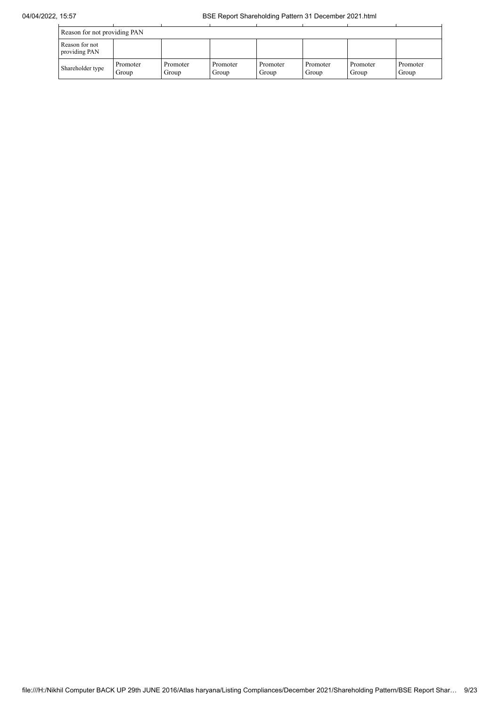| Reason for not providing PAN    |                   |                   |                   |                   |                   |                   |                   |  |  |  |  |
|---------------------------------|-------------------|-------------------|-------------------|-------------------|-------------------|-------------------|-------------------|--|--|--|--|
| Reason for not<br>providing PAN |                   |                   |                   |                   |                   |                   |                   |  |  |  |  |
| Shareholder type                | Promoter<br>Group | Promoter<br>Group | Promoter<br>Group | Promoter<br>Group | Promoter<br>Group | Promoter<br>Group | Promoter<br>Group |  |  |  |  |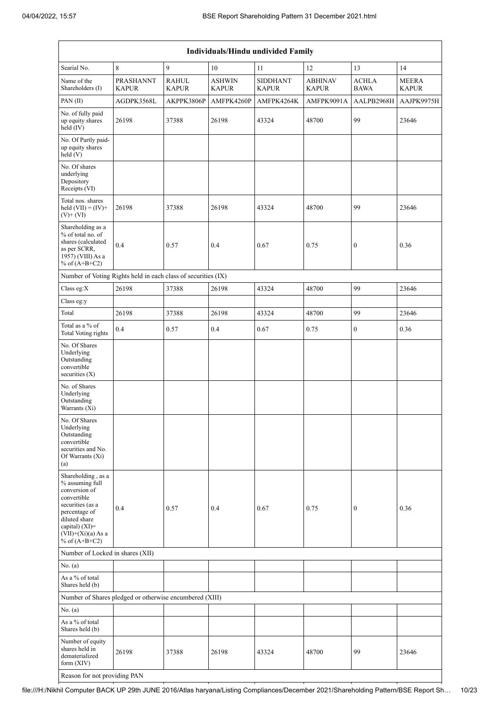| Individuals/Hindu undivided Family                                                                                                                                                       |                                  |                              |                               |                                 |                                |                             |                              |  |  |  |  |
|------------------------------------------------------------------------------------------------------------------------------------------------------------------------------------------|----------------------------------|------------------------------|-------------------------------|---------------------------------|--------------------------------|-----------------------------|------------------------------|--|--|--|--|
| Searial No.                                                                                                                                                                              | 8                                | 9                            | 10                            | 11                              | 12                             | 13                          | 14                           |  |  |  |  |
| Name of the<br>Shareholders (I)                                                                                                                                                          | <b>PRASHANNT</b><br><b>KAPUR</b> | <b>RAHUL</b><br><b>KAPUR</b> | <b>ASHWIN</b><br><b>KAPUR</b> | <b>SIDDHANT</b><br><b>KAPUR</b> | <b>ABHINAV</b><br><b>KAPUR</b> | <b>ACHLA</b><br><b>BAWA</b> | <b>MEERA</b><br><b>KAPUR</b> |  |  |  |  |
| PAN(II)                                                                                                                                                                                  | AGDPK3568L                       | AKPPK3806P                   | AMFPK4260P                    | AMFPK4264K                      | AMFPK9091A                     | AALPB2968H                  | AAJPK9975H                   |  |  |  |  |
| No. of fully paid<br>up equity shares<br>held $(IV)$                                                                                                                                     | 26198                            | 37388                        | 26198                         | 43324                           | 48700                          | 99                          | 23646                        |  |  |  |  |
| No. Of Partly paid-<br>up equity shares<br>held(V)                                                                                                                                       |                                  |                              |                               |                                 |                                |                             |                              |  |  |  |  |
| No. Of shares<br>underlying<br>Depository<br>Receipts (VI)                                                                                                                               |                                  |                              |                               |                                 |                                |                             |                              |  |  |  |  |
| Total nos. shares<br>held $(VII) = (IV) +$<br>$(V)$ + $(VI)$                                                                                                                             | 26198                            | 37388                        | 26198                         | 43324                           | 48700                          | 99                          | 23646                        |  |  |  |  |
| Shareholding as a<br>% of total no. of<br>shares (calculated<br>as per SCRR,<br>1957) (VIII) As a<br>% of $(A+B+C2)$                                                                     | 0.4                              | 0.57                         | 0.4                           | 0.67                            | 0.75                           | $\boldsymbol{0}$            | 0.36                         |  |  |  |  |
| Number of Voting Rights held in each class of securities (IX)                                                                                                                            |                                  |                              |                               |                                 |                                |                             |                              |  |  |  |  |
| Class eg:X                                                                                                                                                                               | 26198                            | 37388                        | 26198                         | 43324                           | 48700                          | 99                          | 23646                        |  |  |  |  |
| Class eg:y                                                                                                                                                                               |                                  |                              |                               |                                 |                                |                             |                              |  |  |  |  |
| Total                                                                                                                                                                                    | 26198                            | 37388                        | 26198                         | 43324                           | 48700                          | 99                          | 23646                        |  |  |  |  |
| Total as a % of<br><b>Total Voting rights</b>                                                                                                                                            | 0.4                              | 0.57                         | 0.4                           | 0.67                            | 0.75                           | $\boldsymbol{0}$            | 0.36                         |  |  |  |  |
| No. Of Shares<br>Underlying<br>Outstanding<br>convertible<br>securities $(X)$                                                                                                            |                                  |                              |                               |                                 |                                |                             |                              |  |  |  |  |
| No. of Shares<br>Underlying<br>Outstanding<br>Warrants (Xi)                                                                                                                              |                                  |                              |                               |                                 |                                |                             |                              |  |  |  |  |
| No. Of Shares<br>Underlying<br>Outstanding<br>convertible<br>securities and No.<br>Of Warrants (Xi)<br>(a)                                                                               |                                  |                              |                               |                                 |                                |                             |                              |  |  |  |  |
| Shareholding, as a<br>% assuming full<br>conversion of<br>convertible<br>securities (as a<br>percentage of<br>diluted share<br>capital) (XI)=<br>$(VII)+(Xi)(a)$ As a<br>% of $(A+B+C2)$ | 0.4                              | 0.57                         | 0.4                           | 0.67                            | 0.75                           | $\bf{0}$                    | 0.36                         |  |  |  |  |
| Number of Locked in shares (XII)                                                                                                                                                         |                                  |                              |                               |                                 |                                |                             |                              |  |  |  |  |
| No. (a)                                                                                                                                                                                  |                                  |                              |                               |                                 |                                |                             |                              |  |  |  |  |
| As a % of total<br>Shares held (b)                                                                                                                                                       |                                  |                              |                               |                                 |                                |                             |                              |  |  |  |  |
| Number of Shares pledged or otherwise encumbered (XIII)                                                                                                                                  |                                  |                              |                               |                                 |                                |                             |                              |  |  |  |  |
| No. (a)                                                                                                                                                                                  |                                  |                              |                               |                                 |                                |                             |                              |  |  |  |  |
| As a % of total<br>Shares held (b)                                                                                                                                                       |                                  |                              |                               |                                 |                                |                             |                              |  |  |  |  |
| Number of equity<br>shares held in<br>dematerialized<br>form $(XIV)$                                                                                                                     | 26198                            | 37388                        | 26198                         | 43324                           | 48700                          | 99                          | 23646                        |  |  |  |  |
| Reason for not providing PAN                                                                                                                                                             |                                  |                              |                               |                                 |                                |                             |                              |  |  |  |  |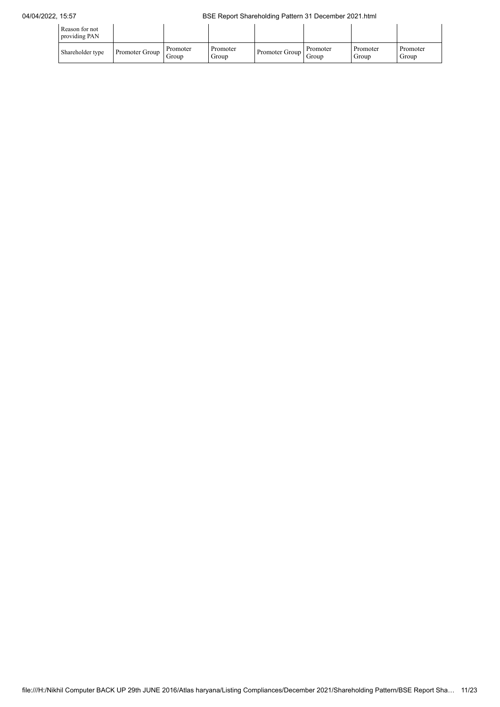| Reason for not<br>providing PAN |                |                   |                   |                        |          |                   |                   |
|---------------------------------|----------------|-------------------|-------------------|------------------------|----------|-------------------|-------------------|
| Shareholder type                | Promoter Group | Promoter<br>Group | Promoter<br>Group | Promoter Group   Group | Promoter | Promoter<br>Group | Promoter<br>Group |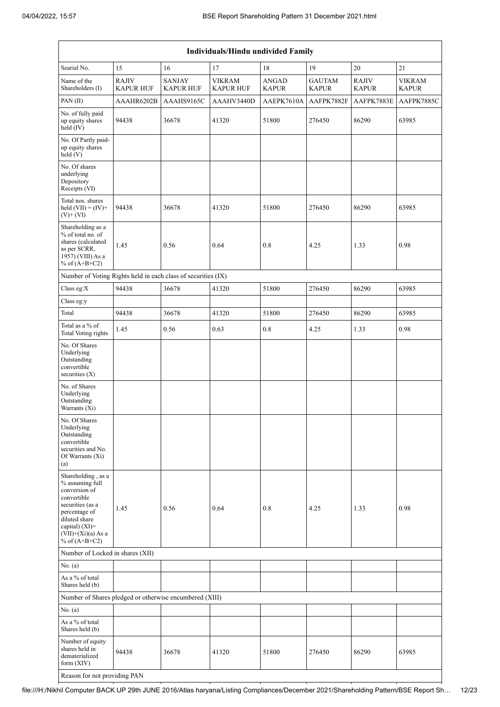| Individuals/Hindu undivided Family                                                                                                                                                          |                                  |                                   |                                   |                              |                               |                              |                               |  |  |  |  |
|---------------------------------------------------------------------------------------------------------------------------------------------------------------------------------------------|----------------------------------|-----------------------------------|-----------------------------------|------------------------------|-------------------------------|------------------------------|-------------------------------|--|--|--|--|
| Searial No.                                                                                                                                                                                 | 15                               | 16                                | 17                                | 18                           | 19                            | 20                           | 21                            |  |  |  |  |
| Name of the<br>Shareholders (I)                                                                                                                                                             | <b>RAJIV</b><br><b>KAPUR HUF</b> | <b>SANJAY</b><br><b>KAPUR HUF</b> | <b>VIKRAM</b><br><b>KAPUR HUF</b> | <b>ANGAD</b><br><b>KAPUR</b> | <b>GAUTAM</b><br><b>KAPUR</b> | <b>RAJIV</b><br><b>KAPUR</b> | <b>VIKRAM</b><br><b>KAPUR</b> |  |  |  |  |
| PAN(II)                                                                                                                                                                                     | AAAHR6202B                       | AAAHS9165C                        | AAAHV3440D                        | AAEPK7610A                   | AAFPK7882F                    | AAFPK7883E                   | AAFPK7885C                    |  |  |  |  |
| No. of fully paid<br>up equity shares<br>held (IV)                                                                                                                                          | 94438                            | 36678                             | 41320                             | 51800                        | 276450                        | 86290                        | 63985                         |  |  |  |  |
| No. Of Partly paid-<br>up equity shares<br>held (V)                                                                                                                                         |                                  |                                   |                                   |                              |                               |                              |                               |  |  |  |  |
| No. Of shares<br>underlying<br>Depository<br>Receipts (VI)                                                                                                                                  |                                  |                                   |                                   |                              |                               |                              |                               |  |  |  |  |
| Total nos. shares<br>held $(VII) = (IV) +$<br>$(V)$ + $(VI)$                                                                                                                                | 94438                            | 36678                             | 41320                             | 51800                        | 276450                        | 86290                        | 63985                         |  |  |  |  |
| Shareholding as a<br>% of total no. of<br>shares (calculated<br>as per SCRR,<br>1957) (VIII) As a<br>% of $(A+B+C2)$                                                                        | 1.45                             | 0.56                              | 0.64                              | 0.8                          | 4.25                          | 1.33                         | 0.98                          |  |  |  |  |
| Number of Voting Rights held in each class of securities (IX)                                                                                                                               |                                  |                                   |                                   |                              |                               |                              |                               |  |  |  |  |
| Class eg:X                                                                                                                                                                                  | 94438                            | 36678                             | 41320                             | 51800                        | 276450                        | 86290                        | 63985                         |  |  |  |  |
| Class eg:y                                                                                                                                                                                  |                                  |                                   |                                   |                              |                               |                              |                               |  |  |  |  |
| Total                                                                                                                                                                                       | 94438                            | 36678                             | 41320                             | 51800                        | 276450                        | 86290                        | 63985                         |  |  |  |  |
| Total as a % of<br><b>Total Voting rights</b>                                                                                                                                               | 1.45                             | 0.56                              | 0.63                              | 0.8                          | 4.25                          | 1.33                         | 0.98                          |  |  |  |  |
| No. Of Shares<br>Underlying<br>Outstanding<br>convertible<br>securities $(X)$                                                                                                               |                                  |                                   |                                   |                              |                               |                              |                               |  |  |  |  |
| No. of Shares<br>Underlying<br>Outstanding<br>Warrants (Xi)                                                                                                                                 |                                  |                                   |                                   |                              |                               |                              |                               |  |  |  |  |
| No. Of Shares<br>Underlying<br>Outstanding<br>convertible<br>securities and No.<br>Of Warrants (Xi)<br>(a)                                                                                  |                                  |                                   |                                   |                              |                               |                              |                               |  |  |  |  |
| Shareholding, as a<br>% assuming full<br>conversion of<br>convertible<br>securities (as a<br>percentage of<br>diluted share<br>capital) $(XI)$ =<br>$(VII)+(Xi)(a) As a$<br>% of $(A+B+C2)$ | 1.45                             | 0.56                              | 0.64                              | 0.8                          | 4.25                          | 1.33                         | 0.98                          |  |  |  |  |
| Number of Locked in shares (XII)                                                                                                                                                            |                                  |                                   |                                   |                              |                               |                              |                               |  |  |  |  |
| No. (a)                                                                                                                                                                                     |                                  |                                   |                                   |                              |                               |                              |                               |  |  |  |  |
| As a % of total<br>Shares held (b)                                                                                                                                                          |                                  |                                   |                                   |                              |                               |                              |                               |  |  |  |  |
| Number of Shares pledged or otherwise encumbered (XIII)                                                                                                                                     |                                  |                                   |                                   |                              |                               |                              |                               |  |  |  |  |
| No. (a)                                                                                                                                                                                     |                                  |                                   |                                   |                              |                               |                              |                               |  |  |  |  |
| As a % of total<br>Shares held (b)                                                                                                                                                          |                                  |                                   |                                   |                              |                               |                              |                               |  |  |  |  |
| Number of equity<br>shares held in<br>dematerialized<br>form (XIV)                                                                                                                          | 94438                            | 36678                             | 41320                             | 51800                        | 276450                        | 86290                        | 63985                         |  |  |  |  |
| Reason for not providing PAN                                                                                                                                                                |                                  |                                   |                                   |                              |                               |                              |                               |  |  |  |  |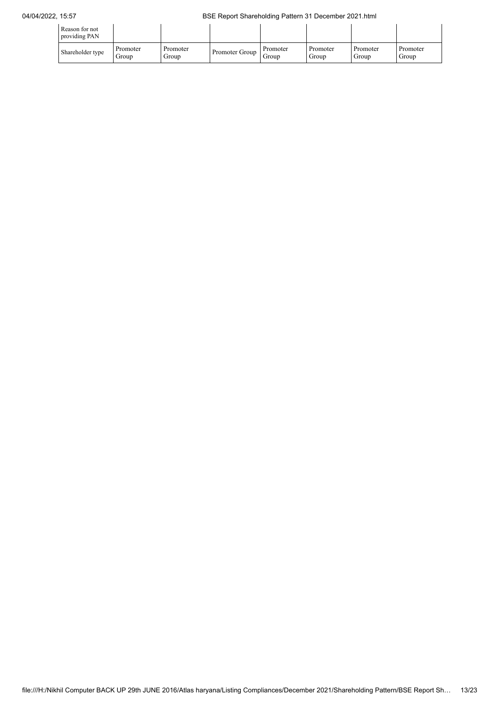## 04/04/2022, 15:57 BSE Report Shareholding Pattern 31 December 2021.html

| Reason for not<br>providing PAN |                   |                   |                |                   |                   |                   |                   |
|---------------------------------|-------------------|-------------------|----------------|-------------------|-------------------|-------------------|-------------------|
| Shareholder type                | Promoter<br>Group | Promoter<br>Group | Promoter Group | Promoter<br>Group | Promoter<br>Group | Promoter<br>Group | Promoter<br>Group |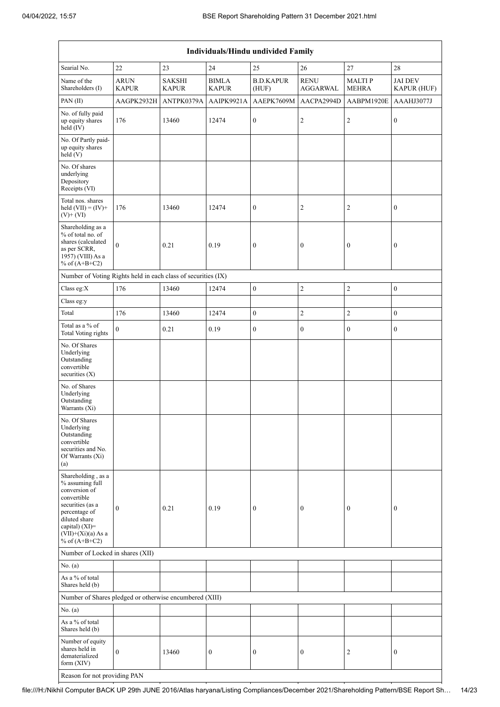| <b>Individuals/Hindu undivided Family</b>                                                                                                                                                |                             |                               |                              |                           |                                |                               |                                      |  |
|------------------------------------------------------------------------------------------------------------------------------------------------------------------------------------------|-----------------------------|-------------------------------|------------------------------|---------------------------|--------------------------------|-------------------------------|--------------------------------------|--|
| Searial No.                                                                                                                                                                              | 22                          | 23                            | $24\,$                       | 25                        | $26\,$                         | 27                            | 28                                   |  |
| Name of the<br>Shareholders (I)                                                                                                                                                          | <b>ARUN</b><br><b>KAPUR</b> | <b>SAKSHI</b><br><b>KAPUR</b> | <b>BIMLA</b><br><b>KAPUR</b> | <b>B.D.KAPUR</b><br>(HUF) | <b>RENU</b><br><b>AGGARWAL</b> | <b>MALTIP</b><br><b>MEHRA</b> | <b>JAI DEV</b><br><b>KAPUR (HUF)</b> |  |
| PAN(II)                                                                                                                                                                                  | AAGPK2932H                  | ANTPK0379A                    | AAIPK9921A                   | AAEPK7609M                | AACPA2994D                     | AABPM1920E                    | AAAHJ3077J                           |  |
| No. of fully paid<br>up equity shares<br>held (IV)                                                                                                                                       | 176                         | 13460                         | 12474                        | $\boldsymbol{0}$          | $\overline{c}$                 | $\overline{c}$                | $\boldsymbol{0}$                     |  |
| No. Of Partly paid-<br>up equity shares<br>held (V)                                                                                                                                      |                             |                               |                              |                           |                                |                               |                                      |  |
| No. Of shares<br>underlying<br>Depository<br>Receipts (VI)                                                                                                                               |                             |                               |                              |                           |                                |                               |                                      |  |
| Total nos. shares<br>held $(VII) = (IV) +$<br>$(V)$ + $(VI)$                                                                                                                             | 176                         | 13460                         | 12474                        | $\boldsymbol{0}$          | $\overline{2}$                 | $\overline{c}$                | $\boldsymbol{0}$                     |  |
| Shareholding as a<br>% of total no. of<br>shares (calculated<br>as per SCRR,<br>1957) (VIII) As a<br>% of $(A+B+C2)$                                                                     | $\mathbf{0}$                | 0.21                          | 0.19                         | $\boldsymbol{0}$          | $\boldsymbol{0}$               | $\boldsymbol{0}$              | $\boldsymbol{0}$                     |  |
| Number of Voting Rights held in each class of securities (IX)                                                                                                                            |                             |                               |                              |                           |                                |                               |                                      |  |
| Class eg: $X$                                                                                                                                                                            | 176                         | 13460                         | 12474                        | $\boldsymbol{0}$          | $\sqrt{2}$                     | $\overline{c}$                | $\boldsymbol{0}$                     |  |
| Class eg:y                                                                                                                                                                               |                             |                               |                              |                           |                                |                               |                                      |  |
| Total                                                                                                                                                                                    | 176                         | 13460                         | 12474                        | $\boldsymbol{0}$          | $\sqrt{2}$                     | $\overline{c}$                | $\boldsymbol{0}$                     |  |
| Total as a $\%$ of<br><b>Total Voting rights</b>                                                                                                                                         | $\mathbf{0}$                | 0.21                          | 0.19                         | $\boldsymbol{0}$          | $\boldsymbol{0}$               | $\boldsymbol{0}$              | $\boldsymbol{0}$                     |  |
| No. Of Shares<br>Underlying<br>Outstanding<br>convertible<br>securities (X)                                                                                                              |                             |                               |                              |                           |                                |                               |                                      |  |
| No. of Shares<br>Underlying<br>Outstanding<br>Warrants (Xi)                                                                                                                              |                             |                               |                              |                           |                                |                               |                                      |  |
| No. Of Shares<br>Underlying<br>Outstanding<br>convertible<br>securities and No.<br>Of Warrants (Xi)<br>(a)                                                                               |                             |                               |                              |                           |                                |                               |                                      |  |
| Shareholding, as a<br>% assuming full<br>conversion of<br>convertible<br>securities (as a<br>percentage of<br>diluted share<br>capital) (XI)=<br>$(VII)+(Xi)(a)$ As a<br>% of $(A+B+C2)$ | $\boldsymbol{0}$            | 0.21                          | 0.19                         | $\boldsymbol{0}$          | $\boldsymbol{0}$               | $\mathbf{0}$                  | $\mathbf{0}$                         |  |
| Number of Locked in shares (XII)                                                                                                                                                         |                             |                               |                              |                           |                                |                               |                                      |  |
| No. (a)                                                                                                                                                                                  |                             |                               |                              |                           |                                |                               |                                      |  |
| As a % of total<br>Shares held (b)                                                                                                                                                       |                             |                               |                              |                           |                                |                               |                                      |  |
| Number of Shares pledged or otherwise encumbered (XIII)                                                                                                                                  |                             |                               |                              |                           |                                |                               |                                      |  |
| No. (a)                                                                                                                                                                                  |                             |                               |                              |                           |                                |                               |                                      |  |
| As a % of total<br>Shares held (b)                                                                                                                                                       |                             |                               |                              |                           |                                |                               |                                      |  |
| Number of equity<br>shares held in<br>dematerialized<br>form (XIV)                                                                                                                       | $\boldsymbol{0}$            | 13460                         | $\boldsymbol{0}$             | $\boldsymbol{0}$          | $\boldsymbol{0}$               | $\overline{c}$                | $\boldsymbol{0}$                     |  |
| Reason for not providing PAN                                                                                                                                                             |                             |                               |                              |                           |                                |                               |                                      |  |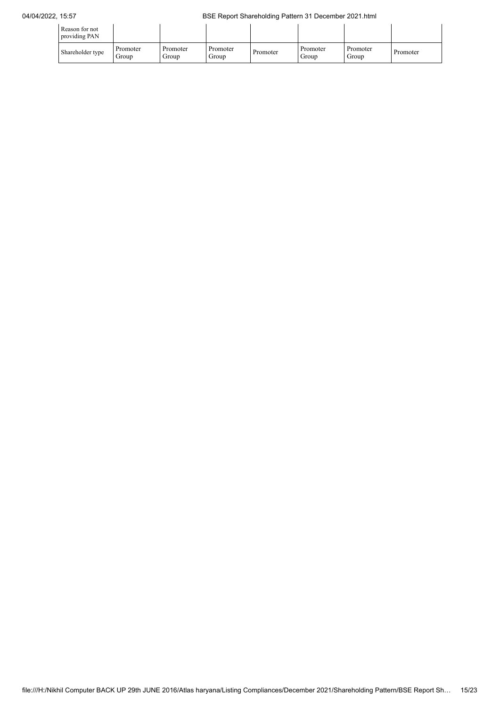| Reason for not<br>providing PAN |                   |                   |                   |          |                   |                   |          |
|---------------------------------|-------------------|-------------------|-------------------|----------|-------------------|-------------------|----------|
| Shareholder type                | Promoter<br>Group | Promoter<br>Group | Promoter<br>Group | Promoter | Promoter<br>Group | Promoter<br>Group | Promoter |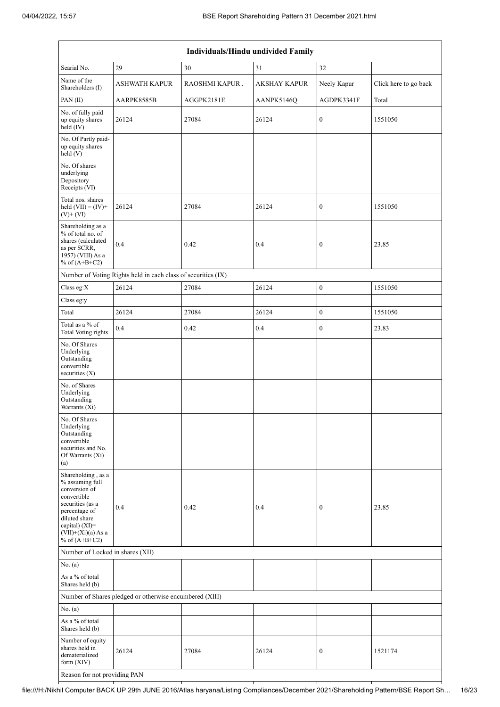| Individuals/Hindu undivided Family                                                                                                                                                       |                                                               |                |                     |                  |                       |  |  |
|------------------------------------------------------------------------------------------------------------------------------------------------------------------------------------------|---------------------------------------------------------------|----------------|---------------------|------------------|-----------------------|--|--|
| Searial No.                                                                                                                                                                              | 29                                                            | 30             | 31                  | 32               |                       |  |  |
| Name of the<br>Shareholders (I)                                                                                                                                                          | <b>ASHWATH KAPUR</b>                                          | RAOSHMI KAPUR. | <b>AKSHAY KAPUR</b> | Neely Kapur      | Click here to go back |  |  |
| PAN(II)                                                                                                                                                                                  | AARPK8585B                                                    | AGGPK2181E     | AANPK5146Q          | AGDPK3341F       | Total                 |  |  |
| No. of fully paid<br>up equity shares<br>held (IV)                                                                                                                                       | 26124                                                         | 27084          | 26124               | $\boldsymbol{0}$ | 1551050               |  |  |
| No. Of Partly paid-<br>up equity shares<br>held (V)                                                                                                                                      |                                                               |                |                     |                  |                       |  |  |
| No. Of shares<br>underlying<br>Depository<br>Receipts (VI)                                                                                                                               |                                                               |                |                     |                  |                       |  |  |
| Total nos. shares<br>held $(VII) = (IV) +$<br>$(V)$ + $(VI)$                                                                                                                             | 26124                                                         | 27084          | 26124               | $\boldsymbol{0}$ | 1551050               |  |  |
| Shareholding as a<br>% of total no. of<br>shares (calculated<br>as per SCRR,<br>1957) (VIII) As a<br>% of $(A+B+C2)$                                                                     | 0.4                                                           | 0.42           | 0.4                 | $\boldsymbol{0}$ | 23.85                 |  |  |
|                                                                                                                                                                                          | Number of Voting Rights held in each class of securities (IX) |                |                     |                  |                       |  |  |
| Class eg:X                                                                                                                                                                               | 26124                                                         | 27084          | 26124               | $\boldsymbol{0}$ | 1551050               |  |  |
| Class eg:y                                                                                                                                                                               |                                                               |                |                     |                  |                       |  |  |
| Total                                                                                                                                                                                    | 26124                                                         | 27084          | 26124               | $\boldsymbol{0}$ | 1551050               |  |  |
| Total as a % of<br><b>Total Voting rights</b>                                                                                                                                            | 0.4                                                           | 0.42           | 0.4                 | $\boldsymbol{0}$ | 23.83                 |  |  |
| No. Of Shares<br>Underlying<br>Outstanding<br>convertible<br>securities $(X)$                                                                                                            |                                                               |                |                     |                  |                       |  |  |
| No. of Shares<br>Underlying<br>Outstanding<br>Warrants (Xi)                                                                                                                              |                                                               |                |                     |                  |                       |  |  |
| No. Of Shares<br>Underlying<br>Outstanding<br>convertible<br>securities and No.<br>Of Warrants (Xi)<br>(a)                                                                               |                                                               |                |                     |                  |                       |  |  |
| Shareholding, as a<br>% assuming full<br>conversion of<br>convertible<br>securities (as a<br>percentage of<br>diluted share<br>capital) (XI)=<br>$(VII)+(Xi)(a)$ As a<br>% of $(A+B+C2)$ | 0.4                                                           | 0.42           | 0.4                 | $\boldsymbol{0}$ | 23.85                 |  |  |
| Number of Locked in shares (XII)                                                                                                                                                         |                                                               |                |                     |                  |                       |  |  |
| No. (a)                                                                                                                                                                                  |                                                               |                |                     |                  |                       |  |  |
| As a % of total<br>Shares held (b)                                                                                                                                                       |                                                               |                |                     |                  |                       |  |  |
|                                                                                                                                                                                          | Number of Shares pledged or otherwise encumbered (XIII)       |                |                     |                  |                       |  |  |
| No. (a)                                                                                                                                                                                  |                                                               |                |                     |                  |                       |  |  |
| As a % of total<br>Shares held (b)                                                                                                                                                       |                                                               |                |                     |                  |                       |  |  |
| Number of equity<br>shares held in<br>dematerialized<br>form $(XIV)$                                                                                                                     | 26124                                                         | 27084          | 26124               | 0                | 1521174               |  |  |
| Reason for not providing PAN                                                                                                                                                             |                                                               |                |                     |                  |                       |  |  |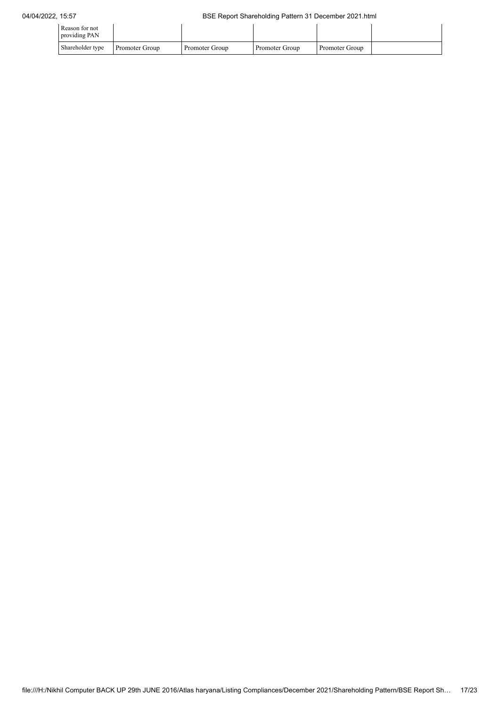| Reason for not<br>providing PAN |                |                |                |                |  |
|---------------------------------|----------------|----------------|----------------|----------------|--|
| Shareholder type                | Promoter Group | Promoter Group | Promoter Group | Promoter Group |  |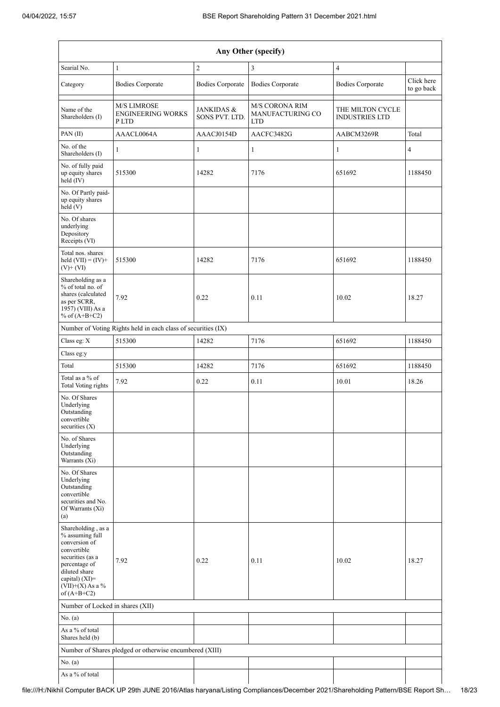| Any Other (specify)                                                                                                                                                                    |                                                               |                                         |                                                         |                                           |                          |  |  |
|----------------------------------------------------------------------------------------------------------------------------------------------------------------------------------------|---------------------------------------------------------------|-----------------------------------------|---------------------------------------------------------|-------------------------------------------|--------------------------|--|--|
| Searial No.                                                                                                                                                                            | $\mathbf{1}$                                                  | $\sqrt{2}$                              | 3                                                       | $\overline{4}$                            |                          |  |  |
| Category                                                                                                                                                                               | <b>Bodies Corporate</b>                                       | <b>Bodies Corporate</b>                 | <b>Bodies Corporate</b>                                 | <b>Bodies Corporate</b>                   | Click here<br>to go back |  |  |
| Name of the<br>Shareholders (I)                                                                                                                                                        | <b>M/S LIMROSE</b><br><b>ENGINEERING WORKS</b><br>P LTD       | <b>JANKIDAS &amp;</b><br>SONS PVT. LTD. | <b>M/S CORONA RIM</b><br>MANUFACTURING CO<br><b>LTD</b> | THE MILTON CYCLE<br><b>INDUSTRIES LTD</b> |                          |  |  |
| PAN(II)                                                                                                                                                                                | AAACL0064A                                                    | AAACJ0154D                              | AACFC3482G                                              | AABCM3269R                                | Total                    |  |  |
| No. of the<br>Shareholders (I)                                                                                                                                                         | $\mathbf{1}$                                                  | 1                                       | 1                                                       | $\mathbf{1}$                              | 4                        |  |  |
| No. of fully paid<br>up equity shares<br>held (IV)                                                                                                                                     | 515300                                                        | 14282                                   | 7176                                                    | 651692                                    | 1188450                  |  |  |
| No. Of Partly paid-<br>up equity shares<br>held (V)                                                                                                                                    |                                                               |                                         |                                                         |                                           |                          |  |  |
| No. Of shares<br>underlying<br>Depository<br>Receipts (VI)                                                                                                                             |                                                               |                                         |                                                         |                                           |                          |  |  |
| Total nos. shares<br>held $(VII) = (IV) +$<br>$(V)$ + $(VI)$                                                                                                                           | 515300                                                        | 14282                                   | 7176                                                    | 651692                                    | 1188450                  |  |  |
| Shareholding as a<br>% of total no. of<br>shares (calculated<br>as per SCRR,<br>1957) (VIII) As a<br>% of $(A+B+C2)$                                                                   | 7.92                                                          | 0.22                                    | 0.11                                                    | 10.02                                     | 18.27                    |  |  |
|                                                                                                                                                                                        | Number of Voting Rights held in each class of securities (IX) |                                         |                                                         |                                           |                          |  |  |
| Class eg: X                                                                                                                                                                            | 515300                                                        | 14282                                   | 7176                                                    | 651692                                    | 1188450                  |  |  |
| Class eg:y                                                                                                                                                                             |                                                               |                                         |                                                         |                                           |                          |  |  |
| Total                                                                                                                                                                                  | 515300                                                        | 14282                                   | 7176                                                    | 651692                                    | 1188450                  |  |  |
| Total as a % of<br>Total Voting rights                                                                                                                                                 | 7.92                                                          | 0.22                                    | 0.11                                                    | 10.01                                     | 18.26                    |  |  |
| No. Of Shares<br>Underlying<br>Outstanding<br>convertible<br>securities (X)                                                                                                            |                                                               |                                         |                                                         |                                           |                          |  |  |
| No. of Shares<br>Underlying<br>Outstanding<br>Warrants (Xi)                                                                                                                            |                                                               |                                         |                                                         |                                           |                          |  |  |
| No. Of Shares<br>Underlying<br>Outstanding<br>convertible<br>securities and No.<br>Of Warrants (Xi)<br>(a)                                                                             |                                                               |                                         |                                                         |                                           |                          |  |  |
| Shareholding, as a<br>% assuming full<br>conversion of<br>convertible<br>securities (as a<br>percentage of<br>diluted share<br>capital) $(XI)=$<br>$(VII)+(X)$ As a %<br>of $(A+B+C2)$ | 7.92                                                          | 0.22                                    | 0.11                                                    | 10.02                                     | 18.27                    |  |  |
| Number of Locked in shares (XII)                                                                                                                                                       |                                                               |                                         |                                                         |                                           |                          |  |  |
| No. (a)                                                                                                                                                                                |                                                               |                                         |                                                         |                                           |                          |  |  |
| As a % of total<br>Shares held (b)                                                                                                                                                     |                                                               |                                         |                                                         |                                           |                          |  |  |
|                                                                                                                                                                                        | Number of Shares pledged or otherwise encumbered (XIII)       |                                         |                                                         |                                           |                          |  |  |
| No. (a)                                                                                                                                                                                |                                                               |                                         |                                                         |                                           |                          |  |  |
| As a % of total                                                                                                                                                                        |                                                               |                                         |                                                         |                                           |                          |  |  |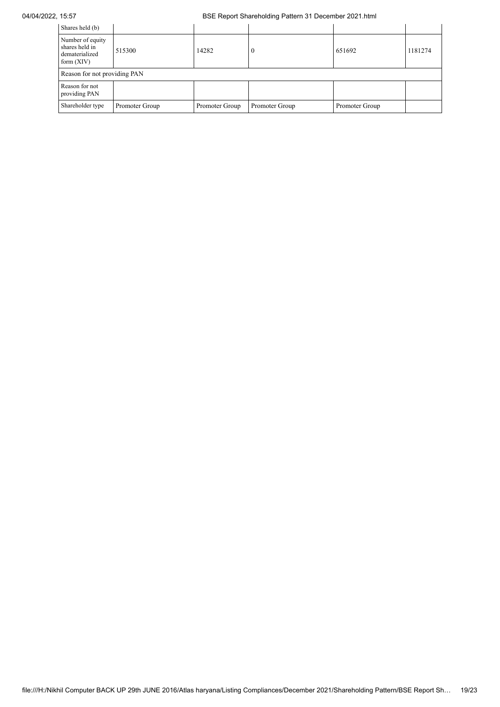## 04/04/2022, 15:57 BSE Report Shareholding Pattern 31 December 2021.html

| Shares held (b)                                                      |                              |                |                |                |         |  |  |  |  |
|----------------------------------------------------------------------|------------------------------|----------------|----------------|----------------|---------|--|--|--|--|
| Number of equity<br>shares held in<br>dematerialized<br>form $(XIV)$ | 515300                       | 14282          | $\theta$       | 651692         | 1181274 |  |  |  |  |
|                                                                      | Reason for not providing PAN |                |                |                |         |  |  |  |  |
| Reason for not<br>providing PAN                                      |                              |                |                |                |         |  |  |  |  |
| Shareholder type                                                     | Promoter Group               | Promoter Group | Promoter Group | Promoter Group |         |  |  |  |  |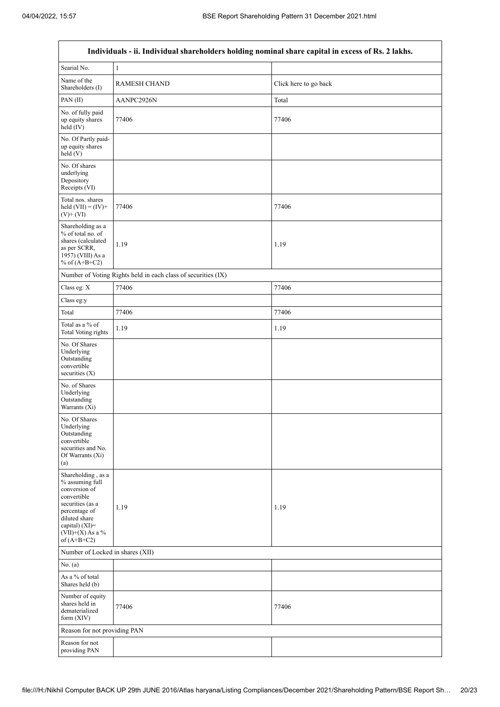$\mathsf{r}$ 

 $\overline{\phantom{a}}$ 

| Individuals - ii. Individual shareholders holding nominal share capital in excess of Rs. 2 lakhs.                                                                                     |                                                               |                       |  |  |  |  |  |
|---------------------------------------------------------------------------------------------------------------------------------------------------------------------------------------|---------------------------------------------------------------|-----------------------|--|--|--|--|--|
| Searial No.                                                                                                                                                                           | $\mathbf{1}$                                                  |                       |  |  |  |  |  |
| Name of the<br>Shareholders (I)                                                                                                                                                       | <b>RAMESH CHAND</b>                                           | Click here to go back |  |  |  |  |  |
| PAN(II)                                                                                                                                                                               | AANPC2926N                                                    | Total                 |  |  |  |  |  |
| No. of fully paid<br>up equity shares<br>held (IV)                                                                                                                                    | 77406                                                         | 77406                 |  |  |  |  |  |
| No. Of Partly paid-<br>up equity shares<br>held(V)                                                                                                                                    |                                                               |                       |  |  |  |  |  |
| No. Of shares<br>underlying<br>Depository<br>Receipts (VI)                                                                                                                            |                                                               |                       |  |  |  |  |  |
| Total nos. shares<br>held $(VII) = (IV) +$<br>$(V)$ + $(VI)$                                                                                                                          | 77406                                                         | 77406                 |  |  |  |  |  |
| Shareholding as a<br>% of total no. of<br>shares (calculated<br>as per SCRR,<br>1957) (VIII) As a<br>% of $(A+B+C2)$                                                                  | 1.19                                                          | 1.19                  |  |  |  |  |  |
|                                                                                                                                                                                       | Number of Voting Rights held in each class of securities (IX) |                       |  |  |  |  |  |
| Class eg: $\mathbf X$                                                                                                                                                                 | 77406                                                         | 77406                 |  |  |  |  |  |
| Class eg:y                                                                                                                                                                            |                                                               |                       |  |  |  |  |  |
| Total                                                                                                                                                                                 | 77406                                                         | 77406                 |  |  |  |  |  |
| Total as a % of<br>Total Voting rights                                                                                                                                                | 1.19                                                          | 1.19                  |  |  |  |  |  |
| No. Of Shares<br>Underlying<br>Outstanding<br>convertible<br>securities $(X)$                                                                                                         |                                                               |                       |  |  |  |  |  |
| No. of Shares<br>Underlying<br>Outstanding<br>Warrants (Xi)                                                                                                                           |                                                               |                       |  |  |  |  |  |
| No. Of Shares<br>Underlying<br>Outstanding<br>convertible<br>securities and No.<br>Of Warrants (Xi)<br>(a)                                                                            |                                                               |                       |  |  |  |  |  |
| Shareholding , as a<br>% assuming full<br>conversion of<br>convertible<br>securities (as a<br>percentage of<br>diluted share<br>capital) (XI)=<br>$(VII)+(X)$ As a %<br>of $(A+B+C2)$ | 1.19                                                          | 1.19                  |  |  |  |  |  |
|                                                                                                                                                                                       | Number of Locked in shares (XII)                              |                       |  |  |  |  |  |
| No. (a)                                                                                                                                                                               |                                                               |                       |  |  |  |  |  |
| As a % of total<br>Shares held (b)                                                                                                                                                    |                                                               |                       |  |  |  |  |  |
| Number of equity<br>shares held in<br>dematerialized<br>form (XIV)                                                                                                                    | 77406                                                         | 77406                 |  |  |  |  |  |
| Reason for not providing PAN                                                                                                                                                          |                                                               |                       |  |  |  |  |  |
| Reason for not<br>providing PAN                                                                                                                                                       |                                                               |                       |  |  |  |  |  |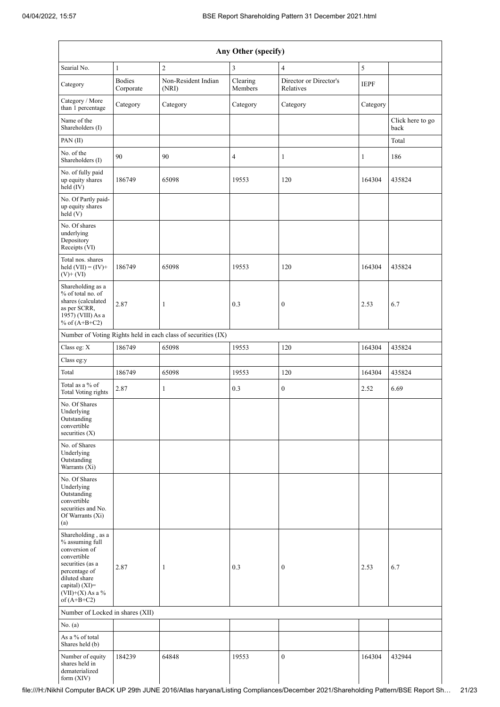| Any Other (specify)                                                                                                                                                                  |                            |                                                               |                     |                                     |              |                          |  |
|--------------------------------------------------------------------------------------------------------------------------------------------------------------------------------------|----------------------------|---------------------------------------------------------------|---------------------|-------------------------------------|--------------|--------------------------|--|
| Searial No.                                                                                                                                                                          | $\mathbf{1}$               | $\overline{2}$                                                | 3                   | $\overline{4}$                      | 5            |                          |  |
| Category                                                                                                                                                                             | <b>Bodies</b><br>Corporate | Non-Resident Indian<br>(NRI)                                  | Clearing<br>Members | Director or Director's<br>Relatives | <b>IEPF</b>  |                          |  |
| Category / More<br>than 1 percentage                                                                                                                                                 | Category                   | Category                                                      | Category            | Category                            | Category     |                          |  |
| Name of the<br>Shareholders (I)                                                                                                                                                      |                            |                                                               |                     |                                     |              | Click here to go<br>back |  |
| PAN(II)                                                                                                                                                                              |                            |                                                               |                     |                                     |              | Total                    |  |
| No. of the<br>Shareholders (I)                                                                                                                                                       | 90                         | 90                                                            | $\overline{4}$      | $\mathbf{1}$                        | $\mathbf{1}$ | 186                      |  |
| No. of fully paid<br>up equity shares<br>held (IV)                                                                                                                                   | 186749                     | 65098                                                         | 19553               | 120                                 | 164304       | 435824                   |  |
| No. Of Partly paid-<br>up equity shares<br>$\text{held} (V)$                                                                                                                         |                            |                                                               |                     |                                     |              |                          |  |
| No. Of shares<br>underlying<br>Depository<br>Receipts (VI)                                                                                                                           |                            |                                                               |                     |                                     |              |                          |  |
| Total nos. shares<br>held $(VII) = (IV) +$<br>$(V)+(VI)$                                                                                                                             | 186749                     | 65098                                                         | 19553               | 120                                 | 164304       | 435824                   |  |
| Shareholding as a<br>% of total no. of<br>shares (calculated<br>as per SCRR,<br>1957) (VIII) As a<br>% of $(A+B+C2)$                                                                 | 2.87                       | $\mathbf{1}$                                                  | 0.3                 | $\boldsymbol{0}$                    | 2.53         | 6.7                      |  |
|                                                                                                                                                                                      |                            | Number of Voting Rights held in each class of securities (IX) |                     |                                     |              |                          |  |
| Class eg: X                                                                                                                                                                          | 186749                     | 65098                                                         | 19553               | 120                                 | 164304       | 435824                   |  |
| Class eg:y                                                                                                                                                                           |                            |                                                               |                     |                                     |              |                          |  |
| Total                                                                                                                                                                                | 186749                     | 65098                                                         | 19553               | 120                                 | 164304       | 435824                   |  |
| Total as a % of<br><b>Total Voting rights</b>                                                                                                                                        | 2.87                       | 1                                                             | 0.3                 | $\mathbf{0}$                        | 2.52         | 6.69                     |  |
| No. Of Shares<br>Underlying<br>Outstanding<br>convertible<br>securities $(X)$                                                                                                        |                            |                                                               |                     |                                     |              |                          |  |
| No. of Shares<br>Underlying<br>Outstanding<br>Warrants (Xi)                                                                                                                          |                            |                                                               |                     |                                     |              |                          |  |
| No. Of Shares<br>Underlying<br>Outstanding<br>convertible<br>securities and No.<br>Of Warrants (Xi)<br>(a)                                                                           |                            |                                                               |                     |                                     |              |                          |  |
| Shareholding, as a<br>% assuming full<br>conversion of<br>convertible<br>securities (as a<br>percentage of<br>diluted share<br>capital) (XI)=<br>$(VII)+(X)$ As a %<br>of $(A+B+C2)$ | 2.87                       | $\mathbf{1}$                                                  | 0.3                 | $\boldsymbol{0}$                    | 2.53         | 6.7                      |  |
| Number of Locked in shares (XII)                                                                                                                                                     |                            |                                                               |                     |                                     |              |                          |  |
| No. (a)                                                                                                                                                                              |                            |                                                               |                     |                                     |              |                          |  |
| As a % of total<br>Shares held (b)                                                                                                                                                   |                            |                                                               |                     |                                     |              |                          |  |
| Number of equity<br>shares held in<br>dematerialized<br>form (XIV)                                                                                                                   | 184239                     | 64848                                                         | 19553               | $\boldsymbol{0}$                    | 164304       | 432944                   |  |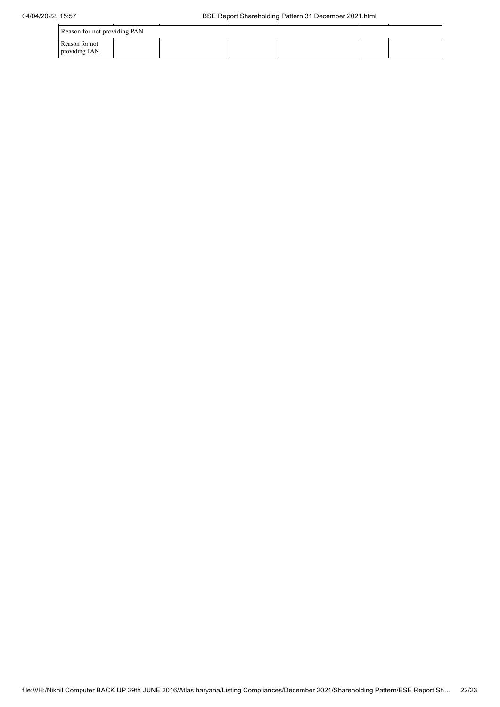| 04/04/2022, 15:57 |                                 |  | BSE Report Shareholding Pattern 31 December 2021.html |  |  |  |  |
|-------------------|---------------------------------|--|-------------------------------------------------------|--|--|--|--|
|                   | Reason for not providing PAN    |  |                                                       |  |  |  |  |
|                   | Reason for not<br>providing PAN |  |                                                       |  |  |  |  |